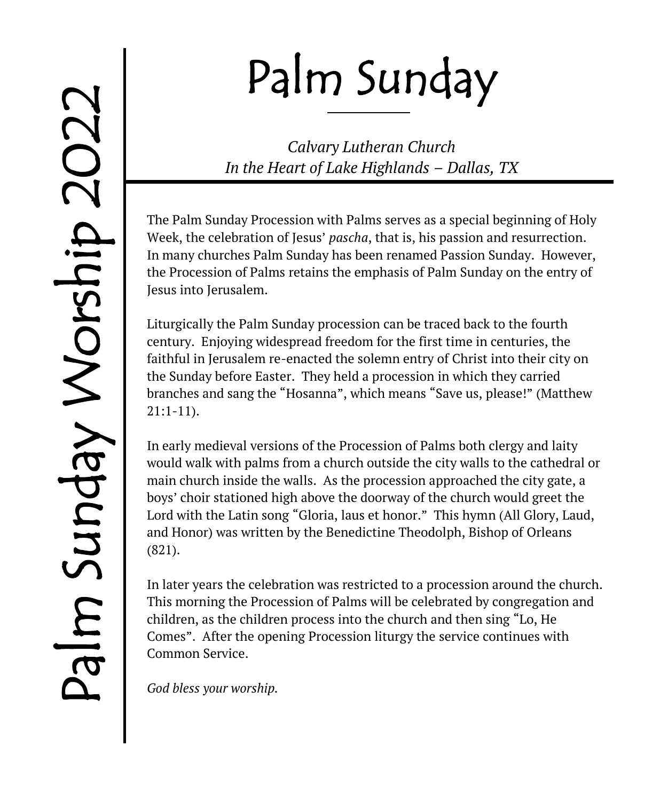# Palm Sunday

*Calvary Lutheran Church In the Heart of Lake Highlands – Dallas, TX*

The Palm Sunday Procession with Palms serves as a special beginning of Holy Week, the celebration of Jesus' *pascha*, that is, his passion and resurrection. In many churches Palm Sunday has been renamed Passion Sunday. However, the Procession of Palms retains the emphasis of Palm Sunday on the entry of Jesus into Jerusalem.

Liturgically the Palm Sunday procession can be traced back to the fourth century. Enjoying widespread freedom for the first time in centuries, the faithful in Jerusalem re-enacted the solemn entry of Christ into their city on the Sunday before Easter. They held a procession in which they carried branches and sang the "Hosanna", which means "Save us, please!" (Matthew 21:1-11).

In early medieval versions of the Procession of Palms both clergy and laity would walk with palms from a church outside the city walls to the cathedral or main church inside the walls. As the procession approached the city gate, a boys' choir stationed high above the doorway of the church would greet the Lord with the Latin song "Gloria, laus et honor." This hymn (All Glory, Laud, and Honor) was written by the Benedictine Theodolph, Bishop of Orleans (821).

In later years the celebration was restricted to a procession around the church. This morning the Procession of Palms will be celebrated by congregation and children, as the children process into the church and then sing "Lo, He Comes". After the opening Procession liturgy the service continues with Common Service.

*God bless your worship.*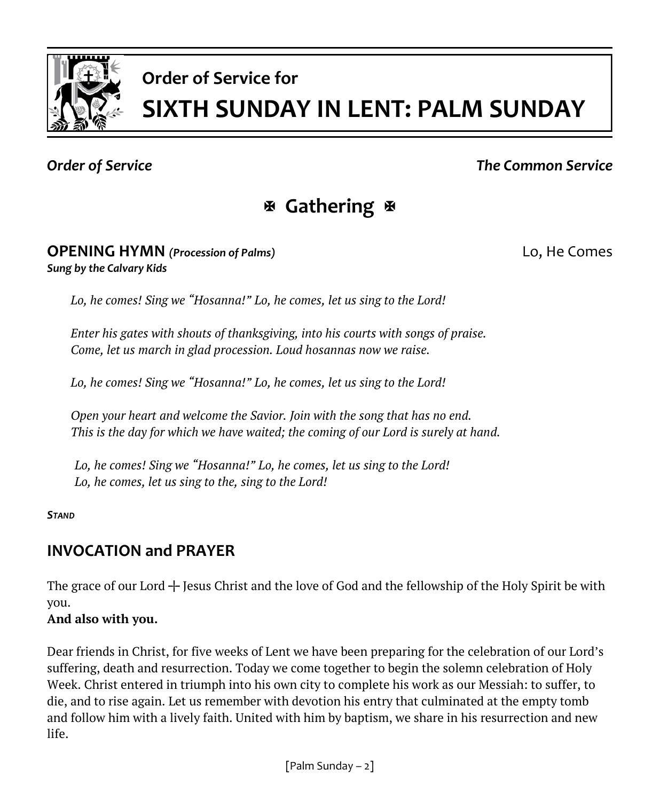

# **Order of Service for SIXTH SUNDAY IN LENT: PALM SUNDAY**

# *Order of Service The Common Service*

# **Gathering**

### **OPENING HYMN** *(Procession of Palms)* Lo, He Comes *Sung by the Calvary Kids*

*Lo, he comes! Sing we "Hosanna!" Lo, he comes, let us sing to the Lord!*

*Enter his gates with shouts of thanksgiving, into his courts with songs of praise. Come, let us march in glad procession. Loud hosannas now we raise.*

*Lo, he comes! Sing we "Hosanna!" Lo, he comes, let us sing to the Lord!*

*Open your heart and welcome the Savior. Join with the song that has no end. This is the day for which we have waited; the coming of our Lord is surely at hand.*

*Lo, he comes! Sing we "Hosanna!" Lo, he comes, let us sing to the Lord! Lo, he comes, let us sing to the, sing to the Lord!*

*STAND*

# **INVOCATION and PRAYER**

The grace of our Lord  $+$  Jesus Christ and the love of God and the fellowship of the Holy Spirit be with you.

# **And also with you.**

Dear friends in Christ, for five weeks of Lent we have been preparing for the celebration of our Lord's suffering, death and resurrection. Today we come together to begin the solemn celebration of Holy Week. Christ entered in triumph into his own city to complete his work as our Messiah: to suffer, to die, and to rise again. Let us remember with devotion his entry that culminated at the empty tomb and follow him with a lively faith. United with him by baptism, we share in his resurrection and new life.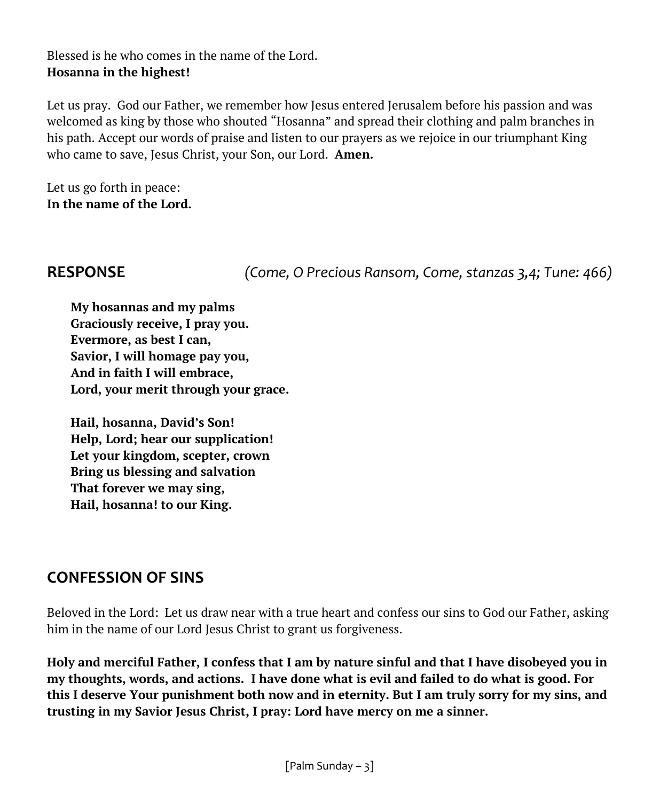## Blessed is he who comes in the name of the Lord. **Hosanna in the highest!**

Let us pray. God our Father, we remember how Jesus entered Jerusalem before his passion and was welcomed as king by those who shouted "Hosanna" and spread their clothing and palm branches in his path. Accept our words of praise and listen to our prayers as we rejoice in our triumphant King who came to save, Jesus Christ, your Son, our Lord. **Amen.**

Let us go forth in peace: **In the name of the Lord.**

**RESPONSE** *(Come, O Precious Ransom, Come, stanzas 3,4; Tune: 466)*

**My hosannas and my palms Graciously receive, I pray you. Evermore, as best I can, Savior, I will homage pay you, And in faith I will embrace, Lord, your merit through your grace.** 

**Hail, hosanna, David's Son! Help, Lord; hear our supplication! Let your kingdom, scepter, crown Bring us blessing and salvation That forever we may sing, Hail, hosanna! to our King.**

# **CONFESSION OF SINS**

Beloved in the Lord: Let us draw near with a true heart and confess our sins to God our Father, asking him in the name of our Lord Jesus Christ to grant us forgiveness.

**Holy and merciful Father, I confess that I am by nature sinful and that I have disobeyed you in my thoughts, words, and actions. I have done what is evil and failed to do what is good. For this I deserve Your punishment both now and in eternity. But I am truly sorry for my sins, and trusting in my Savior Jesus Christ, I pray: Lord have mercy on me a sinner.**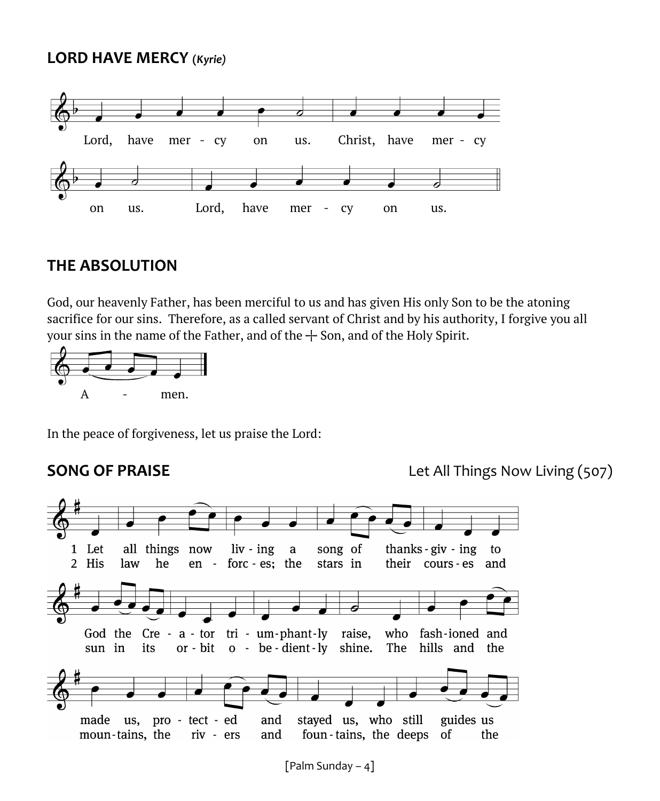# **LORD HAVE MERCY (***Kyrie)*



# **THE ABSOLUTION**

God, our heavenly Father, has been merciful to us and has given His only Son to be the atoning sacrifice for our sins. Therefore, as a called servant of Christ and by his authority, I forgive you all your sins in the name of the Father, and of the  $+$  Son, and of the Holy Spirit.



In the peace of forgiveness, let us praise the Lord:

**SONG OF PRAISE** Let All Things Now Living (507)

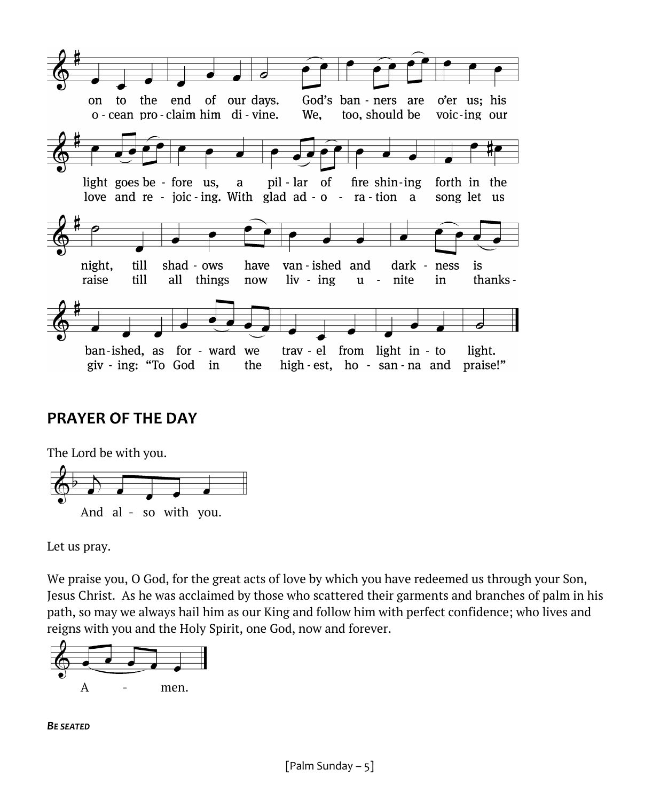

# **PRAYER OF THE DAY**



Let us pray.

We praise you, O God, for the great acts of love by which you have redeemed us through your Son, Jesus Christ. As he was acclaimed by those who scattered their garments and branches of palm in his path, so may we always hail him as our King and follow him with perfect confidence; who lives and reigns with you and the Holy Spirit, one God, now and forever.



*BE SEATED*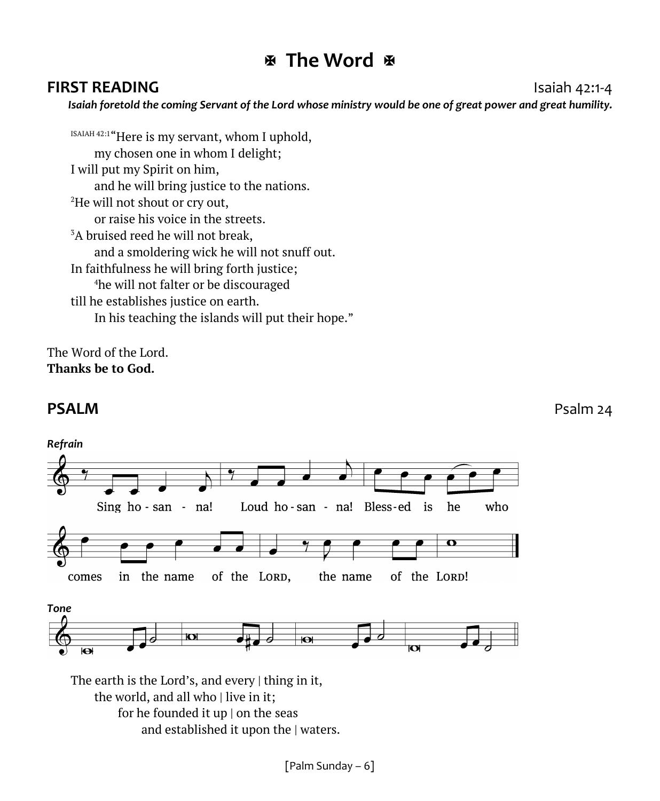# **The Word**

# **FIRST READING Islands Islands Islands Islands Islands Islands Islands Islands Islands Islands Islands Islands Islands Islands Islands Islands Islands Islands Islands Islands Islan**

*Isaiah foretold the coming Servant of the Lord whose ministry would be one of great power and great humility.*

ISAIAH 42:1 "Here is my servant, whom I uphold, my chosen one in whom I delight; I will put my Spirit on him, and he will bring justice to the nations. <sup>2</sup>He will not shout or cry out, or raise his voice in the streets.  $3A$  bruised reed he will not break. and a smoldering wick he will not snuff out. In faithfulness he will bring forth justice; <sup>4</sup>he will not falter or be discouraged till he establishes justice on earth. In his teaching the islands will put their hope."

The Word of the Lord. **Thanks be to God.**

# **PSALM** PSALM



and established it upon the | waters.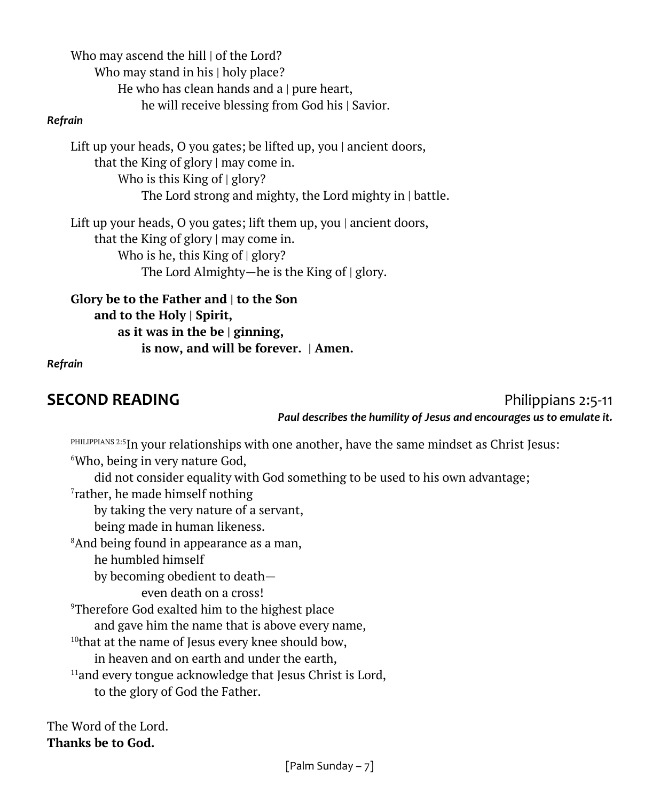Who may ascend the hill  $\vert$  of the Lord? Who may stand in his | holy place? He who has clean hands and a | pure heart, he will receive blessing from God his | Savior.

### *Refrain*

Lift up your heads, O you gates; be lifted up, you | ancient doors, that the King of glory | may come in. Who is this King of  $|$  glory? The Lord strong and mighty, the Lord mighty in | battle.

Lift up your heads, O you gates; lift them up, you | ancient doors, that the King of glory | may come in. Who is he, this King of  $|$  glory? The Lord Almighty—he is the King of | glory.

**Glory be to the Father and | to the Son and to the Holy | Spirit, as it was in the be | ginning, is now, and will be forever. | Amen.**

### *Refrain*

**SECOND READING Philippians 2:5-11** 

*Paul describes the humility of Jesus and encourages us to emulate it.*

 $^{\rm PHILIPPIANS}$   $^{2:5}$ In your relationships with one another, have the same mindset as Christ Jesus: <sup>6</sup>Who, being in very nature God, did not consider equality with God something to be used to his own advantage; 7 rather, he made himself nothing by taking the very nature of a servant, being made in human likeness. <sup>8</sup>And being found in appearance as a man, he humbled himself by becoming obedient to death even death on a cross! <sup>9</sup>Therefore God exalted him to the highest place and gave him the name that is above every name,  $10$ <sup>that at the name of Jesus every knee should bow,</sup> in heaven and on earth and under the earth,  $11$ and every tongue acknowledge that Jesus Christ is Lord, to the glory of God the Father.

The Word of the Lord. **Thanks be to God.**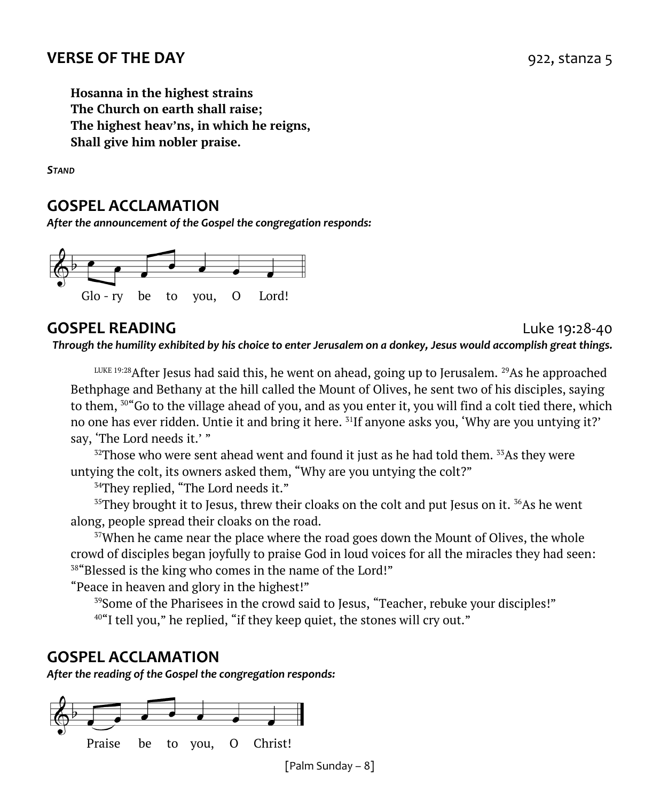**Hosanna in the highest strains The Church on earth shall raise; The highest heav'ns, in which he reigns, Shall give him nobler praise.**

*STAND*

# **GOSPEL ACCLAMATION**

*After the announcement of the Gospel the congregation responds:*



# **GOSPEL READING** Luke 19:28-40

*Through the humility exhibited by his choice to enter Jerusalem on a donkey, Jesus would accomplish great things.*

 $L_{\text{LUE 19:28}}$  After Jesus had said this, he went on ahead, going up to Jerusalem. <sup>29</sup>As he approached Bethphage and Bethany at the hill called the Mount of Olives, he sent two of his disciples, saying to them,  $50^{\circ}$  Go to the village ahead of you, and as you enter it, you will find a colt tied there, which no one has ever ridden. Untie it and bring it here. <sup>31</sup>If anyone asks you, 'Why are you untying it?' say, 'The Lord needs it.' "

 $32$ Those who were sent ahead went and found it just as he had told them.  $33$ As they were untying the colt, its owners asked them, "Why are you untying the colt?"

<sup>34</sup>They replied, "The Lord needs it."

 $35$ They brought it to Jesus, threw their cloaks on the colt and put Jesus on it.  $36$ As he went along, people spread their cloaks on the road.

 $37$ When he came near the place where the road goes down the Mount of Olives, the whole crowd of disciples began joyfully to praise God in loud voices for all the miracles they had seen: <sup>38</sup>"Blessed is the king who comes in the name of the Lord!"

"Peace in heaven and glory in the highest!"

<sup>39</sup>Some of the Pharisees in the crowd said to Jesus, "Teacher, rebuke your disciples!"

 $40^\circ$ I tell you," he replied, "if they keep quiet, the stones will cry out."

# **GOSPEL ACCLAMATION**

*After the reading of the Gospel the congregation responds:*



[Palm Sunday – 8]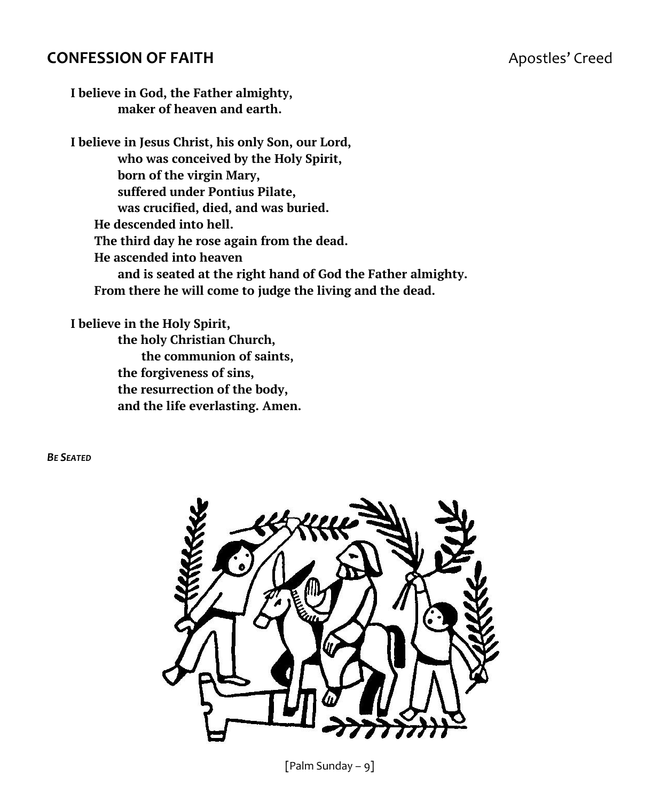# **CONFESSION OF FAITH Apostles' Creed**

**I believe in God, the Father almighty, maker of heaven and earth.**

**I believe in Jesus Christ, his only Son, our Lord, who was conceived by the Holy Spirit, born of the virgin Mary, suffered under Pontius Pilate, was crucified, died, and was buried. He descended into hell. The third day he rose again from the dead. He ascended into heaven and is seated at the right hand of God the Father almighty. From there he will come to judge the living and the dead.**

**I believe in the Holy Spirit, the holy Christian Church, the communion of saints, the forgiveness of sins, the resurrection of the body, and the life everlasting. Amen.**

*BE SEATED*



[Palm Sunday – 9]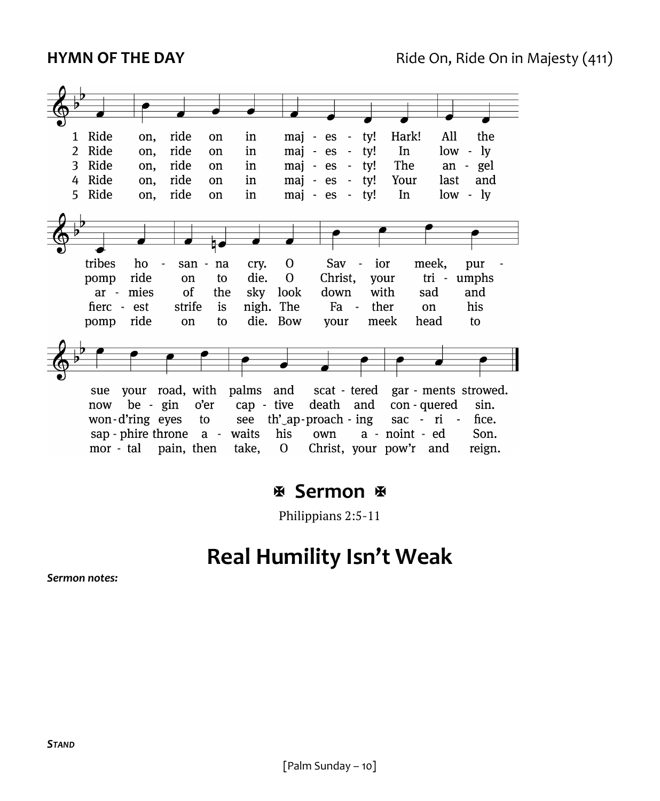

# **图 Sermon 图**

Philippians 2:5-11

# **Real Humility Isn't Weak**

*Sermon notes:*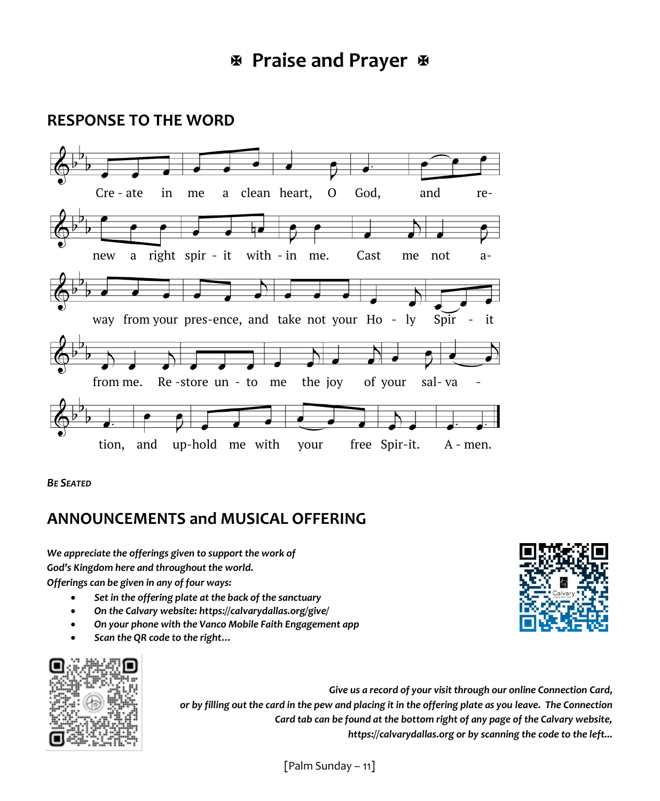# **RESPONSE TO THE WORD**



*BE SEATED*

# **ANNOUNCEMENTS and MUSICAL OFFERING**

*We appreciate the offerings given to support the work of God's Kingdom here and throughout the world. Offerings can be given in any of four ways:*

- *Set in the offering plate at the back of the sanctuary*
- *On the Calvary website: https://calvarydallas.org/give/*
- *On your phone with the Vanco Mobile Faith Engagement app*
- *Scan the QR code to the right…*



*Give us a record of your visit through our online Connection Card, or by filling out the card in the pew and placing it in the offering plate as you leave. The Connection Card tab can be found at the bottom right of any page of the Calvary website, https://calvarydallas.org or by scanning the code to the left...*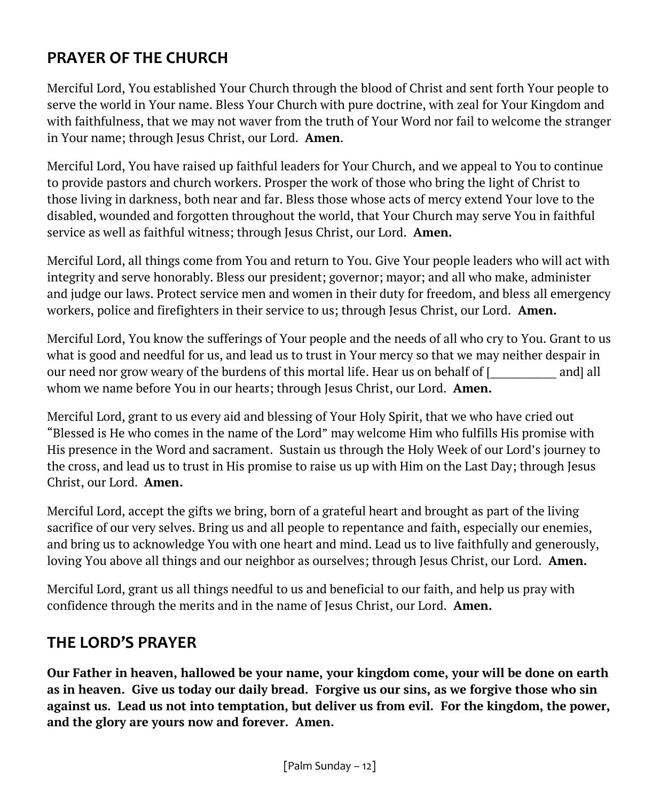# **PRAYER OF THE CHURCH**

Merciful Lord, You established Your Church through the blood of Christ and sent forth Your people to serve the world in Your name. Bless Your Church with pure doctrine, with zeal for Your Kingdom and with faithfulness, that we may not waver from the truth of Your Word nor fail to welcome the stranger in Your name; through Jesus Christ, our Lord. **Amen**.

Merciful Lord, You have raised up faithful leaders for Your Church, and we appeal to You to continue to provide pastors and church workers. Prosper the work of those who bring the light of Christ to those living in darkness, both near and far. Bless those whose acts of mercy extend Your love to the disabled, wounded and forgotten throughout the world, that Your Church may serve You in faithful service as well as faithful witness; through Jesus Christ, our Lord. **Amen.**

Merciful Lord, all things come from You and return to You. Give Your people leaders who will act with integrity and serve honorably. Bless our president; governor; mayor; and all who make, administer and judge our laws. Protect service men and women in their duty for freedom, and bless all emergency workers, police and firefighters in their service to us; through Jesus Christ, our Lord. **Amen.**

Merciful Lord, You know the sufferings of Your people and the needs of all who cry to You. Grant to us what is good and needful for us, and lead us to trust in Your mercy so that we may neither despair in our need nor grow weary of the burdens of this mortal life. Hear us on behalf of [ and] all whom we name before You in our hearts; through Jesus Christ, our Lord. **Amen.**

Merciful Lord, grant to us every aid and blessing of Your Holy Spirit, that we who have cried out "Blessed is He who comes in the name of the Lord" may welcome Him who fulfills His promise with His presence in the Word and sacrament. Sustain us through the Holy Week of our Lord's journey to the cross, and lead us to trust in His promise to raise us up with Him on the Last Day; through Jesus Christ, our Lord. **Amen.**

Merciful Lord, accept the gifts we bring, born of a grateful heart and brought as part of the living sacrifice of our very selves. Bring us and all people to repentance and faith, especially our enemies, and bring us to acknowledge You with one heart and mind. Lead us to live faithfully and generously, loving You above all things and our neighbor as ourselves; through Jesus Christ, our Lord. **Amen.**

Merciful Lord, grant us all things needful to us and beneficial to our faith, and help us pray with confidence through the merits and in the name of Jesus Christ, our Lord. **Amen.**

# **THE LORD'S PRAYER**

**Our Father in heaven, hallowed be your name, your kingdom come, your will be done on earth as in heaven. Give us today our daily bread. Forgive us our sins, as we forgive those who sin against us. Lead us not into temptation, but deliver us from evil. For the kingdom, the power, and the glory are yours now and forever. Amen.**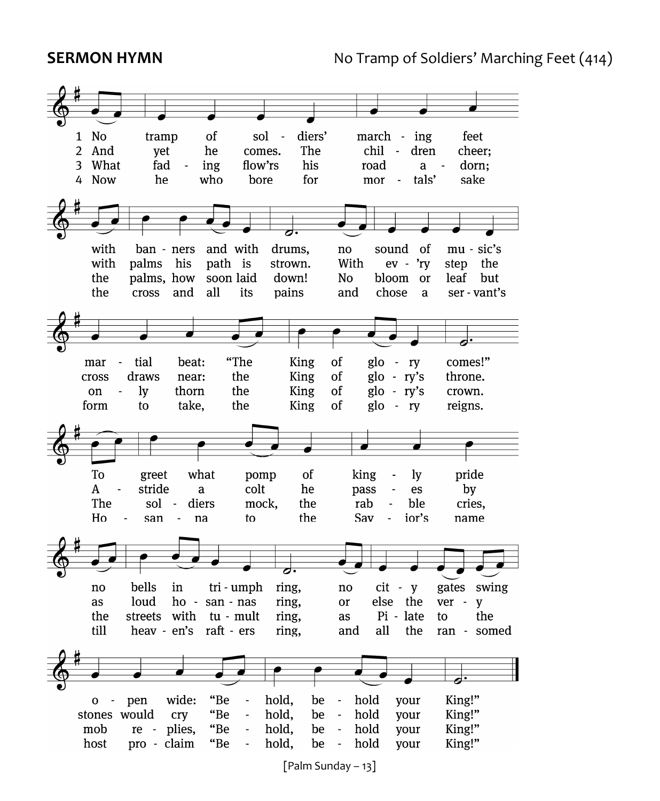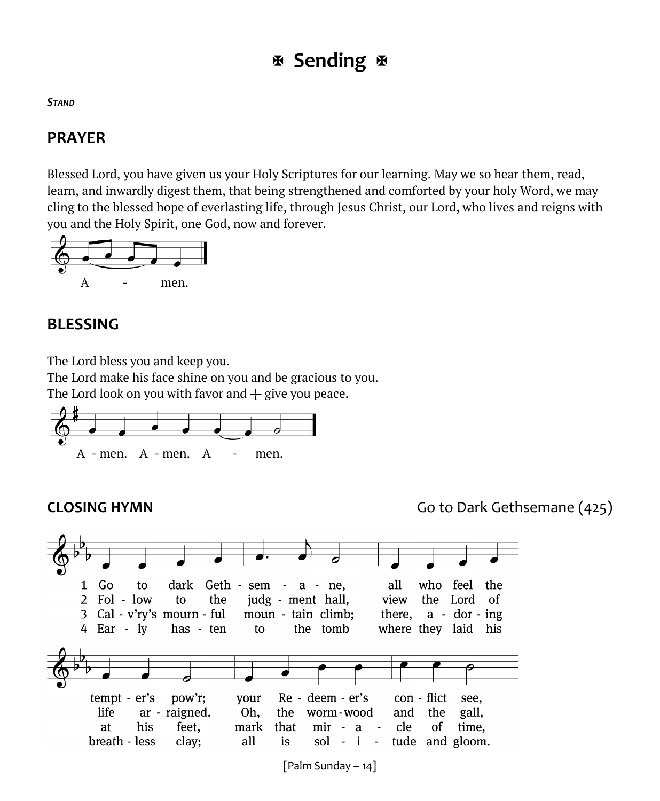# **Sending**

### *STAND*

# **PRAYER**

Blessed Lord, you have given us your Holy Scriptures for our learning. May we so hear them, read, learn, and inwardly digest them, that being strengthened and comforted by your holy Word, we may cling to the blessed hope of everlasting life, through Jesus Christ, our Lord, who lives and reigns with you and the Holy Spirit, one God, now and forever.



# **BLESSING**

The Lord bless you and keep you.

The Lord make his face shine on you and be gracious to you.

The Lord look on you with favor and  $+$  give you peace.



**CLOSING HYMN** Go to Dark Gethsemane (425)



[Palm Sunday – 14]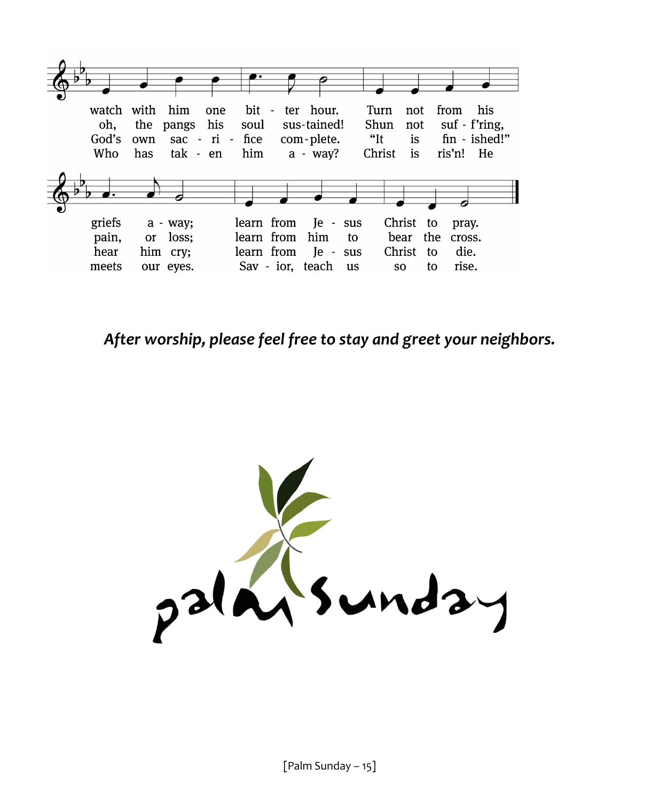

*After worship, please feel free to stay and greet your neighbors.*